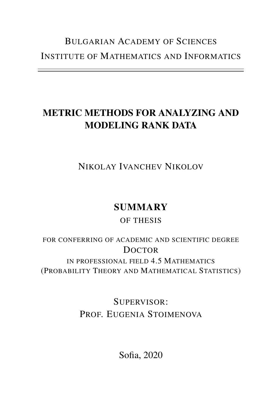# BULGARIAN A[CADEMY OF](http://www.bas.bg) SCIENCES INSTITUTE OF M[ATHEMATICS AND](http://www.math.bas.bg) INFORMATICS

# METRIC METHODS FOR ANALYZING AND MODELING RANK DATA

NIKOLAY IVANCHEV NIKOLOV

# **SUMMARY**

# OF THESIS

FOR CONFERRING OF ACADEMIC AND SCIENTIFIC DEGREE **DOCTOR** IN PROFESSIONAL FIELD 4.5 MATHEMATICS (PROBABILITY THEORY AND MATHEMATICAL STATISTICS)

> SUPERVISOR: PROF. EUGENIA STOIMENOVA

> > Sofia, 2020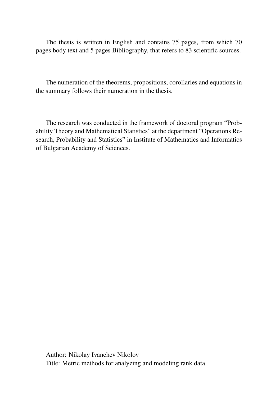The thesis is written in English and contains 75 pages, from which 70 pages body text and 5 pages Bibliography, that refers to 83 scientific sources.

The numeration of the theorems, propositions, corollaries and equations in the summary follows their numeration in the thesis.

The research was conducted in the framework of doctoral program "Probability Theory and Mathematical Statistics" at the department "Operations Research, Probability and Statistics" in Institute of Mathematics and Informatics of Bulgarian Academy of Sciences.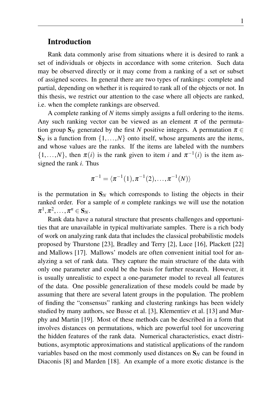#### Introduction

Rank data commonly arise from situations where it is desired to rank a set of individuals or objects in accordance with some criterion. Such data may be observed directly or it may come from a ranking of a set or subset of assigned scores. In general there are two types of rankings: complete and partial, depending on whether it is required to rank all of the objects or not. In this thesis, we restrict our attention to the case where all objects are ranked, i.e. when the complete rankings are observed.

A complete ranking of *N* items simply assigns a full ordering to the items. Any such ranking vector can be viewed as an element  $\pi$  of the permutation group  $S_N$  generated by the first *N* positive integers. A permutation  $\pi \in$  $S_N$  is a function from  $\{1,\ldots,N\}$  onto itself, whose arguments are the items, and whose values are the ranks. If the items are labeled with the numbers  $\{1, \ldots, N\}$ , then  $\pi(i)$  is the rank given to item *i* and  $\pi^{-1}(i)$  is the item assigned the rank *i*. Thus

$$
\pi^{-1} = \langle \pi^{-1}(1), \pi^{-1}(2), \ldots, \pi^{-1}(N) \rangle
$$

is the permutation in  $S_N$  which corresponds to listing the objects in their ranked order. For a sample of *n* complete rankings we will use the notation  $\pi^1, \pi^2, \ldots, \pi^n \in S_N.$ 

Rank data have a natural structure that presents challenges and opportunities that are unavailable in typical multivariate samples. There is a rich body of work on analyzing rank data that includes the classical probabilistic models proposed by Thurstone [\[23\]](#page-21-0), Bradley and Terry [\[2\]](#page-20-0), Luce [\[16\]](#page-21-1), Plackett [\[22\]](#page-21-2) and Mallows [\[17\]](#page-21-3). Mallows' models are often convenient initial tool for analyzing a set of rank data. They capture the main structure of the data with only one parameter and could be the basis for further research. However, it is usually unrealistic to expect a one-parameter model to reveal all features of the data. One possible generalization of these models could be made by assuming that there are several latent groups in the population. The problem of finding the "consensus" ranking and clustering rankings has been widely studied by many authors, see Busse et al. [\[3\]](#page-20-1), Klementiev et al. [\[13\]](#page-21-4) and Murphy and Martin [\[19\]](#page-21-5). Most of these methods can be described in a form that involves distances on permutations, which are powerful tool for uncovering the hidden features of the rank data. Numerical characteristics, exact distributions, asymptotic approximations and statistical applications of the random variables based on the most commonly used distances on  $S_N$  can be found in Diaconis [\[8\]](#page-20-2) and Marden [\[18\]](#page-21-6). An example of a more exotic distance is the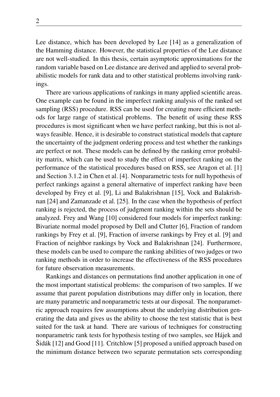Lee distance, which has been developed by Lee [\[14\]](#page-21-7) as a generalization of the Hamming distance. However, the statistical properties of the Lee distance are not well-studied. In this thesis, certain asymptotic approximations for the random variable based on Lee distance are derived and applied to several probabilistic models for rank data and to other statistical problems involving rankings.

There are various applications of rankings in many applied scientific areas. One example can be found in the imperfect ranking analysis of the ranked set sampling (RSS) procedure. RSS can be used for creating more efficient methods for large range of statistical problems. The benefit of using these RSS procedures is most significant when we have perfect ranking, but this is not always feasible. Hence, it is desirable to construct statistical models that capture the uncertainty of the judgment ordering process and test whether the rankings are perfect or not. These models can be defined by the ranking error probability matrix, which can be used to study the effect of imperfect ranking on the performance of the statistical procedures based on RSS, see Aragon et al. [\[1\]](#page-20-3) and Section 3.1.2 in Chen et al. [\[4\]](#page-20-4). Nonparametric tests for null hypothesis of perfect rankings against a general alternative of imperfect ranking have been developed by Frey et al. [\[9\]](#page-20-5), Li and Balakrishnan [\[15\]](#page-21-8), Vock and Balakrishnan [\[24\]](#page-21-9) and Zamanzade et al. [\[25\]](#page-21-10). In the case when the hypothesis of perfect ranking is rejected, the process of judgment ranking within the sets should be analyzed. Frey and Wang [\[10\]](#page-20-6) considered four models for imperfect ranking: Bivariate normal model proposed by Dell and Clutter [\[6\]](#page-20-7), Fraction of random rankings by Frey et al. [\[9\]](#page-20-5), Fraction of inverse rankings by Frey et al. [\[9\]](#page-20-5) and Fraction of neighbor rankings by Vock and Balakrishnan [\[24\]](#page-21-9). Furthermore, these models can be used to compare the ranking abilities of two judges or two ranking methods in order to increase the effectiveness of the RSS procedures for future observation measurements.

Rankings and distances on permutations find another application in one of the most important statistical problems: the comparison of two samples. If we assume that parent population distributions may differ only in location, there are many parametric and nonparametric tests at our disposal. The nonparametric approach requires few assumptions about the underlying distribution generating the data and gives us the ability to choose the test statistic that is best suited for the task at hand. There are various of techniques for constructing nonparametric rank tests for hypothesis testing of two samples, see Hájek and Šidák [\[12\]](#page-20-8) and Good [\[11\]](#page-20-9). Critchlow [\[5\]](#page-20-10) proposed a unified approach based on the minimum distance between two separate permutation sets corresponding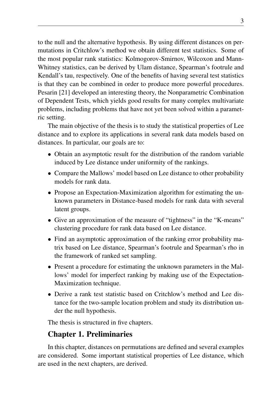to the null and the alternative hypothesis. By using different distances on permutations in Critchlow's method we obtain different test statistics. Some of the most popular rank statistics: Kolmogorov-Smirnov, Wilcoxon and Mann-Whitney statistics, can be derived by Ulam distance, Spearman's footrule and Kendall's tau, respectively. One of the benefits of having several test statistics is that they can be combined in order to produce more powerful procedures. Pesarin [\[21\]](#page-21-11) developed an interesting theory, the Nonparametric Combination of Dependent Tests, which yields good results for many complex multivariate problems, including problems that have not yet been solved within a parametric setting.

The main objective of the thesis is to study the statistical properties of Lee distance and to explore its applications in several rank data models based on distances. In particular, our goals are to:

- Obtain an asymptotic result for the distribution of the random variable induced by Lee distance under uniformity of the rankings.
- Compare the Mallows' model based on Lee distance to other probability models for rank data.
- Propose an Expectation-Maximization algorithm for estimating the unknown parameters in Distance-based models for rank data with several latent groups.
- Give an approximation of the measure of "tightness" in the "K-means" clustering procedure for rank data based on Lee distance.
- Find an asymptotic approximation of the ranking error probability matrix based on Lee distance, Spearman's footrule and Spearman's rho in the framework of ranked set sampling.
- Present a procedure for estimating the unknown parameters in the Mallows' model for imperfect ranking by making use of the Expectation-Maximization technique.
- Derive a rank test statistic based on Critchlow's method and Lee distance for the two-sample location problem and study its distribution under the null hypothesis.

The thesis is structured in five chapters.

## Chapter 1. Preliminaries

In this chapter, distances on permutations are defined and several examples are considered. Some important statistical properties of Lee distance, which are used in the next chapters, are derived.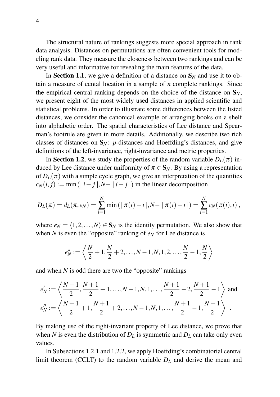The structural nature of rankings suggests more special approach in rank data analysis. Distances on permutations are often convenient tools for modeling rank data. They measure the closeness between two rankings and can be very useful and informative for revealing the main features of the data.

In Section 1.1, we give a definition of a distance on  $S_N$  and use it to obtain a measure of cental location in a sample of *n* complete rankings. Since the empirical central ranking depends on the choice of the distance on  $S_N$ , we present eight of the most widely used distances in applied scientific and statistical problems. In order to illustrate some differences between the listed distances, we consider the canonical example of arranging books on a shelf into alphabetic order. The spatial characteristics of Lee distance and Spearman's footrule are given in more details. Additionally, we describe two rich classes of distances on  $S_N$ : *p*-distances and Hoeffding's distances, and give definitions of the left-invariance, right-invariance and metric properties.

In Section 1.2, we study the properties of the random variable  $D_L(\pi)$  induced by Lee distance under uniformity of  $\pi \in S_N$ . By using a representation of  $D_L(\pi)$  with a simple cycle graph, we give an interpretation of the quantities  $c_N(i, j) := \min(|i - j|, N - |i - j|)$  in the linear decomposition

$$
D_L(\pi) = d_L(\pi, e_N) = \sum_{i=1}^N \min\left( \mid \pi(i) - i \mid, N - \mid \pi(i) - i \mid \right) = \sum_{i=1}^N c_N(\pi(i), i) ,
$$

where  $e_N = \langle 1, 2, ..., N \rangle \in S_N$  is the identity permutation. We also show that when *N* is even the "opposite" ranking of  $e<sub>N</sub>$  for Lee distance is

$$
e_N^* := \left\langle \frac{N}{2} + 1, \frac{N}{2} + 2, \dots, N - 1, N, 1, 2, \dots, \frac{N}{2} - 1, \frac{N}{2} \right\rangle
$$

and when *N* is odd there are two the "opposite" rankings

$$
e'_N := \left\langle \frac{N+1}{2}, \frac{N+1}{2} + 1, \dots, N-1, N, 1, \dots, \frac{N+1}{2} - 2, \frac{N+1}{2} - 1 \right\rangle \text{ and }
$$
  

$$
e''_N := \left\langle \frac{N+1}{2} + 1, \frac{N+1}{2} + 2, \dots, N-1, N, 1, \dots, \frac{N+1}{2} - 1, \frac{N+1}{2} \right\rangle.
$$

By making use of the right-invariant property of Lee distance, we prove that when *N* is even the distribution of  $D<sub>L</sub>$  is symmetric and  $D<sub>L</sub>$  can take only even values.

In Subsections 1.2.1 and 1.2.2, we apply Hoeffding's combinatorial central limit theorem (CCLT) to the random variable  $D_l$  and derive the mean and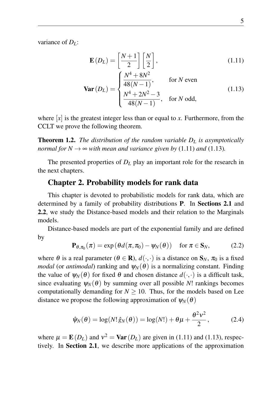variance of *DL*:

<span id="page-6-1"></span><span id="page-6-0"></span>
$$
\mathbf{E}(D_L) = \left[\frac{N+1}{2}\right] \left[\frac{N}{2}\right],\tag{1.11}
$$

$$
\mathbf{Var}\left(D_{L}\right) = \begin{cases} \frac{N^{4} + 8N^{2}}{48(N - 1)}, & \text{for } N \text{ even} \\ \frac{N^{4} + 2N^{2} - 3}{48(N - 1)}, & \text{for } N \text{ odd}, \end{cases}
$$
(1.13)

where  $[x]$  is the greatest integer less than or equal to x. Furthermore, from the CCLT we prove the following theorem.

<span id="page-6-4"></span>Theorem 1.2. *The distribution of the random variable D<sup>L</sup> is asymptotically normal for*  $N \to \infty$  *with mean and variance given by* [\(1.11\)](#page-6-0) *and* [\(1.13\)](#page-6-1)*.* 

The presented properties of  $D<sub>L</sub>$  play an important role for the research in the next chapters.

#### Chapter 2. Probability models for rank data

This chapter is devoted to probabilistic models for rank data, which are determined by a family of probability distributions P. In Sections 2.1 and 2.2, we study the Distance-based models and their relation to the Marginals models.

Distance-based models are part of the exponential family and are defined by

<span id="page-6-3"></span>
$$
\mathbf{P}_{\theta,\pi_0}(\pi) = \exp\left(\theta d(\pi,\pi_0) - \psi_N(\theta)\right) \quad \text{for } \pi \in \mathbf{S}_N,
$$
 (2.2)

where  $\theta$  is a real parameter ( $\theta \in \mathbf{R}$ ),  $d(\cdot, \cdot)$  is a distance on  $\mathbf{S}_N$ ,  $\pi_0$  is a fixed *modal* (or *antimodal*) ranking and  $\psi_N(\theta)$  is a normalizing constant. Finding the value of  $\psi_N(\theta)$  for fixed  $\theta$  and chosen distance  $d(\cdot,\cdot)$  is a difficult task, since evaluating  $\psi_N(\theta)$  by summing over all possible *N*! rankings becomes computationally demanding for  $N \geq 10$ . Thus, for the models based on Lee distance we propose the following approximation of  $\psi_N(\theta)$ 

<span id="page-6-2"></span>
$$
\hat{\psi}_N(\theta) = \log(N! \hat{g}_N(\theta)) = \log(N!) + \theta \mu + \frac{\theta^2 v^2}{2},\tag{2.4}
$$

where  $\mu = \mathbf{E}(D_L)$  and  $v^2 = \text{Var}(D_L)$  are given in [\(1.11\)](#page-6-0) and [\(1.13\)](#page-6-1), respectively. In Section 2.1, we describe more applications of the approximation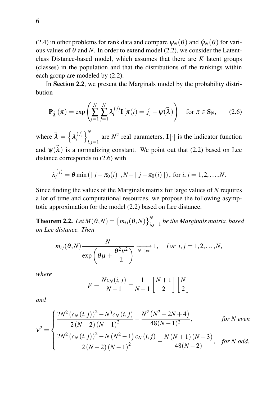[\(2.4\)](#page-6-2) in other problems for rank data and compare  $\psi_N(\theta)$  and  $\hat{\psi}_N(\theta)$  for various values of  $\theta$  and N. In order to extend model [\(2.2\)](#page-6-3), we consider the Latentclass Distance-based model, which assumes that there are *K* latent groups (classes) in the population and that the distributions of the rankings within each group are modeled by [\(2.2\)](#page-6-3).

In Section 2.2, we present the Marginals model by the probability distribution

<span id="page-7-0"></span>
$$
\mathbf{P}_{\vec{\lambda}}\left(\pi\right) = \exp\left(\sum_{i=1}^{N} \sum_{j=1}^{N} \lambda_i^{(j)} \mathbf{I}\left[\pi(i) = j\right] - \psi(\vec{\lambda})\right) \quad \text{for } \pi \in \mathbf{S}_N,\tag{2.6}
$$

where  $\vec{\lambda} = \left\{ \lambda_i^{(j)} \right\}$  $\binom{j}{i}$   $\binom{j}{i}$ are  $N^2$  real parameters,  $\mathbf{I}[\cdot]$  is the indicator function and  $\psi(\vec{\lambda})$  is a normalizing constant. We point out that [\(2.2\)](#page-6-3) based on Lee distance corresponds to [\(2.6\)](#page-7-0) with

$$
\lambda_i^{(j)} = \theta \min(|j - \pi_0(i)|, N - |j - \pi_0(i)|), \text{ for } i, j = 1, 2, ..., N.
$$

Since finding the values of the Marginals matrix for large values of *N* requires a lot of time and computational resources, we propose the following asymptotic approximation for the model [\(2.2\)](#page-6-3) based on Lee distance.

**Theorem 2.2.** Let  $M(\theta, N) = \{m_{ij}(\theta, N)\}_{i,j=1}^N$  be the Marginals matrix, based *on Lee distance. Then*

$$
m_{ij}(\theta,N) \xrightarrow{\text{N}} \frac{N}{\exp\left(\theta\mu + \frac{\theta^2v^2}{2}\right)} \xrightarrow[N \to \infty]{} 1, \quad \text{for } i,j = 1,2,\ldots,N,
$$

*where*

$$
\mu = \frac{Nc_N(i,j)}{N-1} - \frac{1}{N-1} \left[ \frac{N+1}{2} \right] \left[ \frac{N}{2} \right]
$$

*and*

$$
v^{2} = \begin{cases} \frac{2N^{2} (c_{N} (i, j))^{2} - N^{3} c_{N} (i, j)}{2 (N - 2) (N - 1)^{2}} - \frac{N^{2} (N^{2} - 2N + 4)}{48 (N - 1)^{2}}, & \text{for } N \text{ even} \\ \frac{2N^{2} (c_{N} (i, j))^{2} - N (N^{2} - 1) c_{N} (i, j)}{2 (N - 2) (N - 1)^{2}} - \frac{N (N + 1) (N - 3)}{48 (N - 2)}, & \text{for } N \text{ odd.} \end{cases}
$$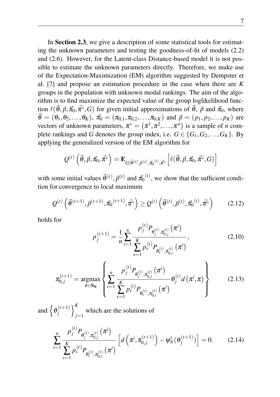In Section 2.3, we give a description of some statistical tools for estimating the unknown parameters and testing the goodness-of-fit of models [\(2.2\)](#page-6-3) and [\(2.6\)](#page-7-0). However, for the Latent-class Distance-based model it is not possible to estimate the unknown parameters directly. Therefore, we make use of the Expectation-Maximization (EM) algorithm suggested by Dempster et al. [\[7\]](#page-20-11) and propose an estimation procedure in the case when there are *K* groups in the population with unknown modal rankings. The aim of the algorithm is to find maximize the expected value of the group loglikelihood function  $\ell(\vec{\theta}, \vec{p}, \vec{\pi}_0, \vec{\pi}^*, G)$  for given initial approximations of  $\vec{\theta}$ ,  $\vec{p}$  and  $\vec{\pi}_0$ , where  $\vec{\theta} = (\theta_1, \theta_2, \dots, \theta_K), \ \vec{\pi}_0 = (\pi_{0,1}, \pi_{0,2}, \dots, \pi_{0,K})$  and  $\vec{p} = (p_1, p_2, \dots, p_K)$  are vectors of unknown parameters,  $\pi^* = (\pi^1, \pi^2, ..., \pi^n)$  is a sample of *n* complete rankings and *G* denotes the group index, i.e.  $G \in \{G_1, G_2, \ldots, G_K\}$ . By applying the generalized version of the EM algorithm for

$$
\mathcal{Q}^{(t)}\left(\vec{\theta}, \vec{p}, \vec{\pi}_{0}, \vec{\pi}^{*}\right) = \mathbf{E}_{G|\vec{\theta}^{(t)}, \vec{p}^{(t)}, \vec{\pi}_{0}^{(t)}, \vec{\pi}^{*}}\left[\ell(\vec{\theta}, \vec{p}, \vec{\pi}_{0}, \vec{\pi}^{*}, G)\right]
$$

with some initial values  $\vec{\theta}^{(t)}, \vec{p}^{(t)}$  and  $\vec{\pi_0}^{(t)}$ , we show that the sufficient condition for convergence to local maximum

$$
Q^{(t)}\left(\vec{\theta}^{(t+1)}, \vec{p}^{(t+1)}, \vec{\pi}_0^{(t+1)}, \vec{\pi}^*\right) \ge Q^{(t)}\left(\vec{\theta}^{(t)}, \vec{p}^{(t)}, \vec{\pi}_0^{(t)}, \vec{\pi}^*\right) \tag{2.12}
$$

holds for

<span id="page-8-3"></span><span id="page-8-1"></span><span id="page-8-0"></span>
$$
p_j^{(t+1)} = \frac{1}{n} \sum_{i=1}^n \frac{p_j^{(t)} P_{\theta_j^{(t)}, \pi_{0,j}^{(t)}}(\pi^i)}{\sum_{s=1}^K p_s^{(t)} P_{\theta_s^{(t)}, \pi_{0,s}^{(t)}}(\pi^i)},
$$
(2.10)

$$
\pi_{0,j}^{(t+1)} = \underset{\pi \in S_N}{\operatorname{argmax}} \left\{ \sum_{i=1}^n \frac{p_j^{(t)} P_{\theta_j^{(t)}, \pi_{0,j}^{(t)}}(\pi^i)}{\sum_{s=1}^K p_s^{(t)} P_{\theta_s^{(t)}, \pi_{0,s}^{(t)}}(\pi^i)} \theta_j^{(t)} d(\pi^i, \pi) \right\}
$$
(2.13)

and  $\left\{\theta_i^{(t+1)}\right\}$  $\binom{t+1}{j}$ which are the solutions of

<span id="page-8-2"></span>
$$
\sum_{i=1}^{n} \frac{p_j^{(t)} P_{\theta_j^{(t)}, \pi_{0,j}^{(t)}}(\pi^i)}{\sum_{s=1}^{K} p_s^{(t)} P_{\theta_s^{(t)}, \pi_{0,s}^{(t)}}(\pi^i)} \left[ d\left(\pi^i, \pi_{0,j}^{(t+1)}\right) - \psi_N'(\theta_j^{(t+1)}) \right] = 0. \tag{2.14}
$$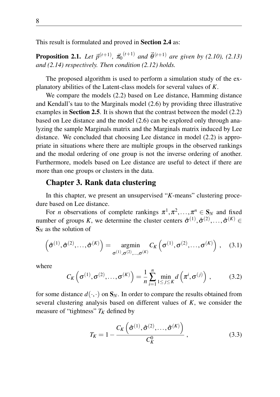This result is formulated and proved in Section 2.4 as:

**Proposition 2.1.** Let  $\vec{p}^{(t+1)}$ ,  $\vec{\pi}_0^{(t+1)}$  and  $\vec{\theta}^{(t+1)}$  are given by [\(2.10\)](#page-8-0), [\(2.13\)](#page-8-1) *and [\(2.14\)](#page-8-2) respectively. Then condition [\(2.12\)](#page-8-3) holds.*

The proposed algorithm is used to perform a simulation study of the explanatory abilities of the Latent-class models for several values of *K*.

We compare the models [\(2.2\)](#page-6-3) based on Lee distance, Hamming distance and Kendall's tau to the Marginals model [\(2.6\)](#page-7-0) by providing three illustrative examples in **Section 2.5**. It is shown that the contrast between the model [\(2.2\)](#page-6-3) based on Lee distance and the model [\(2.6\)](#page-7-0) can be explored only through analyzing the sample Marginals matrix and the Marginals matrix induced by Lee distance. We concluded that choosing Lee distance in model [\(2.2\)](#page-6-3) is appropriate in situations where there are multiple groups in the observed rankings and the modal ordering of one group is not the inverse ordering of another. Furthermore, models based on Lee distance are useful to detect if there are more than one groups or clusters in the data.

#### Chapter 3. Rank data clustering

In this chapter, we present an unsupervised "*K*-means" clustering procedure based on Lee distance.

For *n* observations of complete rankings  $\pi^1, \pi^2, ..., \pi^n \in S_N$  and fixed number of groups *K*, we determine the cluster centers  $\hat{\sigma}^{(1)}, \hat{\sigma}^{(2)}, \dots, \hat{\sigma}^{(K)} \in$ S*<sup>N</sup>* as the solution of

$$
\left(\hat{\sigma}^{(1)}, \hat{\sigma}^{(2)}, \dots, \hat{\sigma}^{(K)}\right) = \underset{\sigma^{(1)}, \sigma^{(2)}, \dots, \sigma^{(K)}}{\operatorname{argmin}} C_K\left(\sigma^{(1)}, \sigma^{(2)}, \dots, \sigma^{(K)}\right), \quad (3.1)
$$

where

$$
C_K\left(\sigma^{(1)},\sigma^{(2)},\ldots,\sigma^{(K)}\right) = \frac{1}{n}\sum_{i=1}^n \min_{1\leq j\leq K} d\left(\pi^i,\sigma^{(j)}\right),\tag{3.2}
$$

for some distance  $d(\cdot, \cdot)$  on  $S_N$ . In order to compare the results obtained from several clustering analysis based on different values of *K*, we consider the measure of "tightness"  $T_K$  defined by

$$
T_K = 1 - \frac{C_K\left(\hat{\sigma}^{(1)}, \hat{\sigma}^{(2)}, \dots, \hat{\sigma}^{(K)}\right)}{C_K^0},
$$
\n(3.3)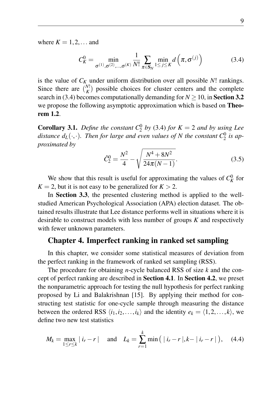where  $K = 1, 2, \ldots$  and

<span id="page-10-0"></span>
$$
C_K^0 = \min_{\sigma^{(1)}, \sigma^{(2)}, \dots, \sigma^{(K)}} \frac{1}{N!} \sum_{\pi \in S_N} \min_{1 \le j \le K} d\left(\pi, \sigma^{(j)}\right)
$$
(3.4)

is the value of *C<sup>K</sup>* under uniform distribution over all possible *N*! rankings. Since there are  $\binom{N!}{K}$  possible choices for cluster centers and the complete search in [\(3.4\)](#page-10-0) becomes computationally demanding for  $N \ge 10$ , in Section 3.2 we propose the following asymptotic approximation which is based on **Theo**rem [1.2](#page-6-4).

**Corollary 3.1.** *Define the constant*  $C_2^0$  *by* [\(3.4\)](#page-10-0) *for*  $K = 2$  *and by using Lee* distance  $d_L(\cdot, \cdot)$ . Then for large and even values of N the constant  $C_2^0$  is ap*proximated by*

$$
\hat{C}_2^0 = \frac{N^2}{4} - \sqrt{\frac{N^4 + 8N^2}{24\pi (N-1)}}.
$$
\n(3.5)

We show that this result is useful for approximating the values of  $C_K^0$  for  $K = 2$ , but it is not easy to be generalized for  $K > 2$ .

In Section 3.3, the presented clustering method is applied to the wellstudied American Psychological Association (APA) election dataset. The obtained results illustrate that Lee distance performs well in situations where it is desirable to construct models with less number of groups *K* and respectively with fewer unknown parameters.

#### Chapter 4. Imperfect ranking in ranked set sampling

In this chapter, we consider some statistical measures of deviation from the perfect ranking in the framework of ranked set sampling (RSS).

The procedure for obtaining *n*-cycle balanced RSS of size *k* and the concept of perfect ranking are described in Section 4.1. In Section 4.2, we preset the nonparametric approach for testing the null hypothesis for perfect ranking proposed by Li and Balakrishnan [\[15\]](#page-21-8). By applying their method for constructing test statistic for one-cycle sample through measuring the distance between the ordered RSS  $\langle i_1, i_2, \ldots, i_k \rangle$  and the identity  $e_k = \langle 1, 2, \ldots, k \rangle$ , we define two new test statistics

<span id="page-10-1"></span>
$$
M_k = \max_{1 \le r \le k} |i_r - r| \quad \text{and} \quad L_k = \sum_{r=1}^k \min\left( |i_r - r|, k - |i_r - r| \right), \quad (4.4)
$$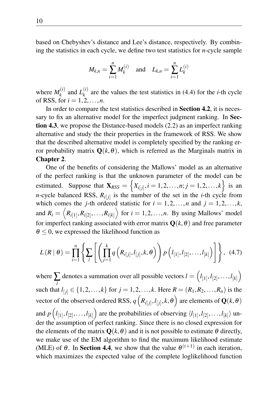based on Chebyshev's distance and Lee's distance, respectively. By combining the statistics in each cycle, we define two test statistics for *n*-cycle sample

$$
M_{k,n} = \sum_{i=1}^{n} M_k^{(i)}
$$
 and  $L_{k,n} = \sum_{i=1}^{n} L_k^{(i)}$ 

where  $M_k^{(i)}$  $L_k^{(i)}$  and  $L_k^{(i)}$  $k<sup>(t)</sup>$  are the values the test statistics in [\(4.4\)](#page-10-1) for the *i*-th cycle of RSS, for  $i = 1, 2, ..., n$ .

In order to compare the test statistics described in Section 4.2, it is necessary to fix an alternative model for the imperfect judgment ranking. In Section 4.3, we propose the Distance-based models [\(2.2\)](#page-6-3) as an imperfect ranking alternative and study the their properties in the framework of RSS. We show that the described alternative model is completely specified by the ranking error probability matrix  $\mathbf{Q}(k, \theta)$ , which is referred as the Marginals matrix in Chapter 2.

One of the benefits of considering the Mallows' model as an alternative of the perfect ranking is that the unknown parameter of the model can be estimated. Suppose that  $\mathbf{X}_{RSS} = \left\{ X_{i[j]}, i = 1, 2, \ldots, n; j = 1, 2, \ldots, k \right\}$  is an *n*-cycle balanced RSS,  $R_{i[j]}$  is the number of the set in the *i*-th cycle from which comes the *j*-th ordered statistic for  $i = 1, 2, ..., n$  and  $j = 1, 2, ..., k$ , and  $R_i = \langle R_{i[1]}, R_{i[2]}, \ldots, R_{i[k]} \rangle$  for  $i = 1, 2, \ldots, n$ . By using Mallows' model for imperfect ranking associated with error matrix  $\mathbf{O}(k, \theta)$  and free parameter  $\theta \leq 0$ , we expressed the likelihood function as

$$
L(R | \theta) = \prod_{i=1}^{n} \left\{ \sum_{l} \left[ \left( \prod_{j=1}^{k} q\left( R_{i[j]}, l_{[j]}, k, \theta \right) \right) p\left( l_{[1]}, l_{[2]}, \ldots, l_{[k]} \right) \right] \right\}, (4.7)
$$

where  $\sum$  denotes a summation over all possible vectors  $l = \left( l_{[1]}, l_{[2]}, \ldots, l_{[k]} \right)$ such that  $l_{[j]} \in \{1, 2, ..., k\}$  for  $j = 1, 2, ..., k$ . Here  $R = (R_1, R_2, ..., R_n)$  is the vector of the observed ordered RSS,  $q\left(R_{i[j]}, l_{[j]}, k, \theta\right)$  are elements of  $\mathbf{Q}(k, \theta)$ and  $p\left(l_{[1]}, l_{[2]}, \ldots, l_{[k]}\right)$  are the probabilities of observing  $\langle l_{[1]}, l_{[2]}, \ldots, l_{[k]} \rangle$  under the assumption of perfect ranking. Since there is no closed expression for the elements of the matrix  $\mathbf{Q}(k,\theta)$  and it is not possible to estimate  $\theta$  directly, we make use of the EM algorithm to find the maximum likelihood estimate (MLE) of  $\theta$ . In **Section 4.4**, we show that the value  $\theta^{(t+1)}$  in each iteration, which maximizes the expected value of the complete loglikelihood function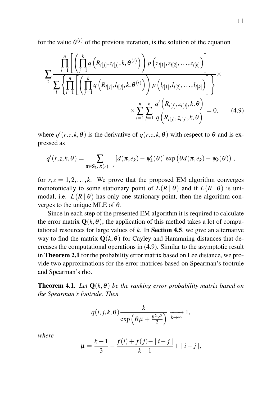for the value  $\theta^{(t)}$  of the previous iteration, is the solution of the equation

$$
\sum_{z} \frac{\prod_{i=1}^{n} \left[ \left( \prod_{j=1}^{k} q\left(R_{i[j]}, z_{i[j]}, k, \theta^{(t)}\right) \right) p\left(z_{i[1]}, z_{i[2]}, \dots, z_{i[k]}\right) \right]}{\sum_{l} \left\{ \prod_{i=1}^{n} \left[ \left( \prod_{j=1}^{k} q\left(R_{i[j]}, l_{i[j]}, k, \theta^{(t)}\right) \right) p\left(l_{i[1]}, l_{i[2]}, \dots, l_{i[k]}\right) \right] \right\}} \times \sum_{i=1}^{n} \sum_{j=1}^{k} \frac{q'\left(R_{i[j]}, z_{i[j]}, k, \theta\right)}{q\left(R_{i[j]}, z_{i[j]}, k, \theta\right)} = 0, \quad (4.9)
$$

where  $q'(r, z, k, \theta)$  is the derivative of  $q(r, z, k, \theta)$  with respect to  $\theta$  and is expressed as

<span id="page-12-0"></span>
$$
q'(r,z,k,\theta) = \sum_{\pi \in \mathbf{S}_k, \pi(z)=r} [d(\pi,e_k) - \psi'_k(\theta)] \exp (\theta d(\pi,e_k) - \psi_k(\theta)),
$$

for  $r, z = 1, 2, \ldots, k$ . We prove that the proposed EM algorithm converges monotonically to some stationary point of  $L(R | \theta)$  and if  $L(R | \theta)$  is unimodal, i.e.  $L(R | \theta)$  has only one stationary point, then the algorithm converges to the unique MLE of  $\theta$ .

Since in each step of the presented EM algorithm it is required to calculate the error matrix  $\mathbf{Q}(k, \theta)$ , the application of this method takes a lot of computational resources for large values of *k*. In Section 4.5, we give an alternative way to find the matrix  $Q(k, \theta)$  for Cayley and Hammning distances that decreases the computational operations in [\(4.9\)](#page-12-0). Similar to the asymptotic result in Theorem 2.1 for the probability error matrix based on Lee distance, we provide two approximations for the error matrices based on Spearman's footrule and Spearman's rho.

**Theorem 4.1.** Let  $Q(k, \theta)$  be the ranking error probability matrix based on *the Spearman's footrule. Then*

$$
q(i, j, k, \theta) \frac{k}{\exp\left(\theta\mu + \frac{\theta^2v^2}{2}\right)} \xrightarrow[k \to \infty]{} 1,
$$

*where*

$$
\mu = \frac{k+1}{3} - \frac{f(i) + f(j) - |i - j|}{k - 1} + |i - j|,
$$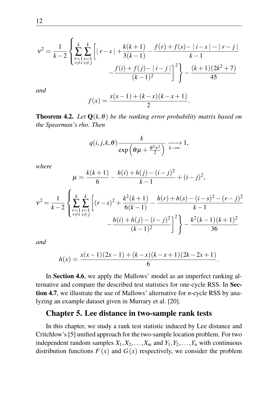$$
v^{2} = \frac{1}{k-2} \left\{ \sum_{\substack{r=1 \ s=1}}^{k} \sum_{\substack{s=1 \ r \neq i}}^{k} \left[ |r-s| + \frac{k(k+1)}{3(k-1)} - \frac{f(r) + f(s) - |i-s| - |r-j|}{k-1} - \frac{f(i) + f(j) - |i-j|}{(k-1)^{2}} \right]^{2} \right\} - \frac{(k+1)(2k^{2} + 7)}{45}
$$

*and*

$$
f(x) = \frac{x(x-1) + (k-x)(k-x+1)}{2}.
$$

**Theorem 4.2.** *Let*  $Q(k, \theta)$  *be the ranking error probability matrix based on the Spearman's rho. Then*

$$
q(i, j, k, \theta) \frac{k}{\exp\left(\theta\mu + \frac{\theta^2v^2}{2}\right)} \xrightarrow[k \to \infty]{} 1,
$$

*where*

$$
\mu = \frac{k(k+1)}{6} - \frac{h(i) + h(j) - (i - j)^2}{k - 1} + (i - j)^2,
$$

$$
v^{2} = \frac{1}{k-2} \left\{ \sum_{\substack{r=1 \ s=1 \\ r \neq i}}^{k} \sum_{\substack{s=1 \\ s \neq j}}^{k} \left[ (r-s)^{2} + \frac{k^{2}(k+1)}{6(k-1)} - \frac{h(r) + h(s) - (i-s)^{2} - (r-j)^{2}}{k-1} - \frac{h(i) + h(j) - (i-j)^{2}}{(k-1)^{2}} \right]^{2} \right\} - \frac{k^{2}(k-1)(k+1)^{2}}{36}
$$

*and*

$$
h(x) = \frac{x(x-1)(2x-1) + (k-x)(k-x+1)(2k-2x+1)}{6}.
$$

In Section 4.6, we apply the Mallows' model as an imperfect ranking alternative and compare the described test statistics for one-cycle RSS. In Section 4.7, we illustrate the use of Mallows' alternative for *n*-cycle RSS by analyzing an example dataset given in Murrary et al. [\[20\]](#page-21-12).

#### Chapter 5. Lee distance in two-sample rank tests

In this chapter, we study a rank test statistic induced by Lee distance and Critchlow's [\[5\]](#page-20-10) unified approach for the two-sample location problem. For two independent random samples  $X_1, X_2, \ldots, X_m$  and  $Y_1, Y_2, \ldots, Y_n$  with continuous distribution functions  $F(x)$  and  $G(x)$  respectively, we consider the problem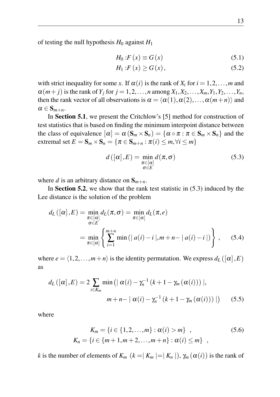of testing the null hypothesis  $H_0$  against  $H_1$ 

$$
H_0: F(x) \equiv G(x) \tag{5.1}
$$

$$
H_1: F(x) \ge G(x), \tag{5.2}
$$

with strict inequality for some *x*. If  $\alpha(i)$  is the rank of  $X_i$  for  $i = 1, 2, \ldots, m$  and  $\alpha(m + j)$  is the rank of  $Y_j$  for  $j = 1, 2, ..., n$  among  $X_1, X_2, ..., X_m, Y_1, Y_2, ..., Y_n$ , then the rank vector of all observations is  $\alpha = \langle \alpha(1), \alpha(2), \ldots, \alpha(m+n) \rangle$  and  $\alpha \in \mathbf{S}_{m+n}$ .

In Section 5.1, we present the Critchlow's [\[5\]](#page-20-10) method for construction of test statistics that is based on finding the minimum interpoint distance between the class of equivalence  $[\alpha] = \alpha (S_m \times S_n) = {\alpha \circ \pi : \pi \in S_m \times S_n}$  and the extremal set  $E = \mathbf{S}_m \times \mathbf{S}_n = \{ \pi \in \mathbf{S}_{m+n} : \pi(i) \leq m, \forall i \leq m \}$ 

<span id="page-14-0"></span>
$$
d\left(\left[\alpha\right],E\right) = \min_{\substack{\pi \in \left[\alpha\right] \\ \sigma \in E}} d\left(\pi,\sigma\right) \tag{5.3}
$$

where *d* is an arbitrary distance on  $S_{m+n}$ .

In Section 5.2, we show that the rank test statistic in [\(5.3\)](#page-14-0) induced by the Lee distance is the solution of the problem

$$
d_L([\alpha], E) = \min_{\substack{\pi \in [\alpha] \\ \sigma \in E}} d_L(\pi, \sigma) = \min_{\pi \in [\alpha]} d_L(\pi, e)
$$

$$
= \min_{\pi \in [\alpha]} \left\{ \sum_{i=1}^{m+n} \min\left(|a(i) - i|, m + n - |a(i) - i|\right) \right\}, \qquad (5.4)
$$

where  $e = \langle 1, 2, \ldots, m+n \rangle$  is the identity permutation. We express  $d_L([\alpha], E)$ as

$$
d_L([\alpha], E) = 2 \sum_{i \in K_m} \min\left( |\alpha(i) - \gamma_n^{-1} (k+1 - \gamma_m(\alpha(i))) \right),
$$
  

$$
m + n - |\alpha(i) - \gamma_n^{-1} (k+1 - \gamma_m(\alpha(i)))| \right) \qquad (5.5)
$$

where

<span id="page-14-1"></span>
$$
K_m = \{i \in \{1, 2, ..., m\} : \alpha(i) > m\} ,
$$
  
\n
$$
K_n = \{i \in \{m+1, m+2, ..., m+n\} : \alpha(i) \le m\} ,
$$
\n(5.6)

*k* is the number of elements of  $K_m$  ( $k = |K_m| = |K_n|$ ),  $\gamma_m(\alpha(i))$  is the rank of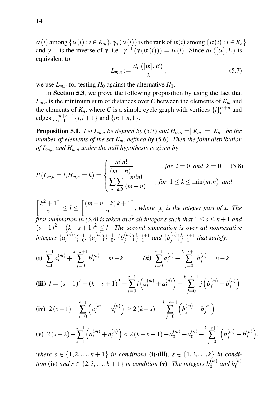$\alpha(i)$  among  $\{\alpha(i) : i \in K_m\}, \gamma_n(\alpha(i))$  is the rank of  $\alpha(i)$  among  $\{\alpha(i) : i \in K_n\}$ and  $\gamma^{-1}$  is the inverse of  $\gamma$ , i.e.  $\gamma^{-1}(\gamma(\alpha(i))) = \alpha(i)$ . Since  $d_L([\alpha], E)$  is equivalent to

<span id="page-15-0"></span>
$$
L_{m,n} := \frac{d_L\left(\left[\alpha\right], E\right)}{2} \,,\tag{5.7}
$$

we use  $L_{m,n}$  for testing  $H_0$  against the alternative  $H_1$ .

In Section 5.3, we prove the following proposition by using the fact that  $L_{m,n}$  is the minimum sum of distances over *C* between the elements of  $K_m$  and the elements of  $K_n$ , where C is a simple cycle graph with vertices  $\{i\}_{i=1}^{m+n}$  and edges  $\bigcup_{i=1}^{m+n-1} \{i, i+1\}$  and  $\{m+n, 1\}$ .

**Proposition 5.1.** *Let*  $L_{m,n}$  *be defined by* [\(5.7\)](#page-15-0) *and*  $H_{m,n} = |K_m| = |K_n|$  *be the number of elements of the set Km, defined by* [\(5.6\)](#page-14-1)*. Then the joint distribution of Lm*,*<sup>n</sup> and Hm*,*<sup>n</sup> under the null hypothesis is given by*

$$
P(L_{m,n} = l, H_{m,n} = k) = \begin{cases} \frac{m!n!}{(m+n)!}, & \text{for } l = 0 \text{ and } k = 0 \quad (5.8) \\ \sum_{s} \sum_{a,b} \frac{m!n!}{(m+n)!}, & \text{for } 1 \le k \le \min(m,n) \text{ and} \end{cases}
$$

 $\left[k^2+1\right]$ 2  $\left| \leq l \leq \left[ \frac{(m+n-k)k+1}{2} \right]$ 2 *, where* [*x*] *is the integer part of x. The first summation in (5.8) is taken over all integer s such that*  $1 \leq s \leq k+1$  and  $(s-1)^2 + (k-s+1)^2 \leq l$ . The second summation is over all nonnegative *integers* {*a* (*m*)  $\{a_i^{(n)}\}_{i=0}^{s-1}, \{a_i^{(n)}\}$  $\{b_i^{(n)}\}_{i=0}^{s-1}, \{b_j^{(m)}\}$  $\{b_j^{(m)}\}_{j=1}^{k-s+1}$  and  $\{b_j^{(n)}\}$ *j* } *k*−*s*+1 *j*=1 *that satisfy:*

(i) 
$$
\sum_{i=0}^{s-1} a_i^{(m)} + \sum_{j=0}^{k-s+1} b_j^{(m)} = m - k
$$
 \t\t\t(ii) 
$$
\sum_{i=0}^{s-1} a_i^{(n)} + \sum_{j=0}^{k-s+1} b_j^{(n)} = n - k
$$

(iii) 
$$
l = (s-1)^2 + (k-s+1)^2 + \sum_{i=0}^{s-1} i \left( a_i^{(m)} + a_i^{(n)} \right) + \sum_{j=0}^{k-s+1} j \left( b_j^{(m)} + b_j^{(n)} \right)
$$

$$
\textbf{(iv)} \ \ 2\left(s-1\right) + \sum_{i=0}^{s-1} \left( a_i^{(m)} + a_i^{(n)} \right) \ge 2\left(k-s\right) + \sum_{j=0}^{k-s+1} \left( b_j^{(m)} + b_j^{(n)} \right)
$$

$$
\text{(v)} \ 2\left(s-2\right) + \sum_{i=1}^{s-1} \left( a_i^{(m)} + a_i^{(n)} \right) < 2\left( k - s + 1 \right) + a_0^{(m)} + a_0^{(n)} + \sum_{j=0}^{k-s+1} \left( b_j^{(m)} + b_j^{(n)} \right),
$$

*where*  $s \in \{1, 2, ..., k + 1\}$  *in conditions* (i)-(iii),  $s \in \{1, 2, ..., k\}$  *in condition* (iv) and  $s \in \{2, 3, ..., k+1\}$  in condition (v). The integers  $b_0^{(m)}$  and  $b_0^{(n)}$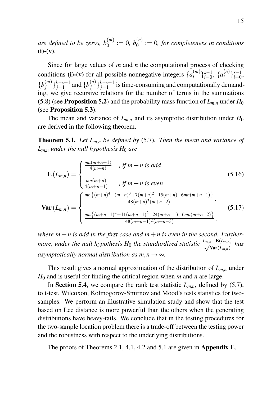are defined to be zeros,  $b_0^{(m)} := 0$ ,  $b_0^{(n)} := 0$ , for completeness in conditions  $(i)-(v)$ .

Since for large values of *m* and *n* the computational process of checking conditions (i)-(v) for all possible nonnegative integers  $\{a_i^{(m)}\}$  $\{a_i^{(m)}\}_{i=0}^{s-1}, \{a_i^{(n)}\}$  $\{n\}\}$ <sub>*i*=0</sub></sub>,  ${b_i^{(m)}}$  $\{b_j^{(m)}\}_{j=1}^{k-s+1}$  and  $\{b_j^{(n)}\}$  ${j<sub>j</sub>}$  *k*−*s*+1</sub> is time-consuming and computationally demanding, we give recursive relations for the number of terms in the summations (5.8) (see **Proposition 5.2**) and the probability mass function of  $L_{m,n}$  under  $H_0$ (see Proposition 5.3).

The mean and variance of  $L_{m,n}$  and its asymptotic distribution under  $H_0$ are derived in the following theorem.

Theorem 5.1. *Let Lm*,*<sup>n</sup> be defined by* [\(5.7\)](#page-15-0)*. Then the mean and variance of*  $L_{m,n}$  *under the null hypothesis H*<sub>0</sub> *are* 

$$
\mathbf{E}\left(L_{m,n}\right) = \begin{cases} \frac{mn(m+n+1)}{4(m+n)} & , \text{ if } m+n \text{ is odd} \\ \frac{mn(m+n)}{4(m+n-1)} & , \text{ if } m+n \text{ is even} \end{cases} \tag{5.16}
$$
  

$$
\mathbf{Var}\left(L_{m,n}\right) = \begin{cases} \frac{mn\{(m+n)^4 - (m+n)^3 + 7(m+n)^2 - 15(m+n) - 6mn(m+n-1)\}}{48(m+n)^2(m+n-2)}, \\ \frac{mn\{(m+n-1)^4 + 11(m+n-1)^2 - 24(m+n-1) - 6mn(m+n-2)\}}{48(m+n-1)^2(m+n-3)}, \end{cases} \tag{5.17}
$$

where  $m + n$  is odd in the first case and  $m + n$  is even in the second. Further*more, under the null hypothesis*  $H_0$  *the standardized statistic*  $\frac{L_{m,n}-\mathbf{E}(L_{m,n})}{\sqrt{\mathbf{Var}(L_{m,n})}}$  has *asymptotically normal distribution as*  $m, n \rightarrow \infty$ *.* 

This result gives a normal approximation of the distribution of *Lm*,*<sup>n</sup>* under *H*<sup>0</sup> and is useful for finding the critical region when *m* and *n* are large.

In Section 5.4, we compare the rank test statistic  $L_{m,n}$ , defined by [\(5.7\)](#page-15-0), to t-test, Wilcoxon, Kolmogorov-Smirnov and Mood's tests statistics for twosamples. We perform an illustrative simulation study and show that the test based on Lee distance is more powerful than the others when the generating distributions have heavy-tails. We conclude that in the testing procedures for the two-sample location problem there is a trade-off between the testing power and the robustness with respect to the underlying distributions.

The proofs of Theorems 2.1, 4.1, 4.2 and 5.1 are given in Appendix E.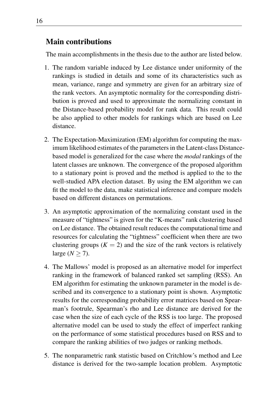## Main contributions

The main accomplishments in the thesis due to the author are listed below.

- 1. The random variable induced by Lee distance under uniformity of the rankings is studied in details and some of its characteristics such as mean, variance, range and symmetry are given for an arbitrary size of the rank vectors. An asymptotic normality for the corresponding distribution is proved and used to approximate the normalizing constant in the Distance-based probability model for rank data. This result could be also applied to other models for rankings which are based on Lee distance.
- 2. The Expectation-Maximization (EM) algorithm for computing the maximum likelihood estimates of the parameters in the Latent-class Distancebased model is generalized for the case where the *modal* rankings of the latent classes are unknown. The convergence of the proposed algorithm to a stationary point is proved and the method is applied to the to the well-studied APA election dataset. By using the EM algorithm we can fit the model to the data, make statistical inference and compare models based on different distances on permutations.
- 3. An asymptotic approximation of the normalizing constant used in the measure of "tightness" is given for the "K-means" rank clustering based on Lee distance. The obtained result reduces the computational time and resources for calculating the "tightness" coefficient when there are two clustering groups  $(K = 2)$  and the size of the rank vectors is relatively large ( $N \geq 7$ ).
- 4. The Mallows' model is proposed as an alternative model for imperfect ranking in the framework of balanced ranked set sampling (RSS). An EM algorithm for estimating the unknown parameter in the model is described and its convergence to a stationary point is shown. Asymptotic results for the corresponding probability error matrices based on Spearman's footrule, Spearman's rho and Lee distance are derived for the case when the size of each cycle of the RSS is too large. The proposed alternative model can be used to study the effect of imperfect ranking on the performance of some statistical procedures based on RSS and to compare the ranking abilities of two judges or ranking methods.
- 5. The nonparametric rank statistic based on Critchlow's method and Lee distance is derived for the two-sample location problem. Asymptotic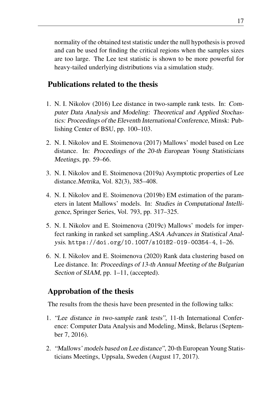normality of the obtained test statistic under the null hypothesis is proved and can be used for finding the critical regions when the samples sizes are too large. The Lee test statistic is shown to be more powerful for heavy-tailed underlying distributions via a simulation study.

### Publications related to the thesis

- 1. N. I. Nikolov (2016) Lee distance in two-sample rank tests. In: Computer Data Analysis and Modeling: Theoretical and Applied Stochastics: Proceedings of the Eleventh International Conference, Minsk: Publishing Center of BSU, pp. 100–103.
- 2. N. I. Nikolov and E. Stoimenova (2017) Mallows' model based on Lee distance. In: Proceedings of the 20-th European Young Statisticians Meetings, pp. 59–66.
- 3. N. I. Nikolov and E. Stoimenova (2019a) Asymptotic properties of Lee distance.Metrika, Vol. 82(3), 385–408.
- 4. N. I. Nikolov and E. Stoimenova (2019b) EM estimation of the parameters in latent Mallows' models. In: Studies in Computational Intelligence, Springer Series, Vol. 793, pp. 317–325.
- 5. N. I. Nikolov and E. Stoimenova (2019c) Mallows' models for imperfect ranking in ranked set sampling.AStA Advances in Statistical Analysis. <https://doi.org/10.1007/s10182-019-00354-4>, 1–26.
- 6. N. I. Nikolov and E. Stoimenova (2020) Rank data clustering based on Lee distance. In: Proceedings of 13-th Annual Meeting of the Bulgarian Section of SIAM, pp. 1–11, (accepted).

## Approbation of the thesis

The results from the thesis have been presented in the following talks:

- 1. "Lee distance in two-sample rank tests", 11-th International Conference: Computer Data Analysis and Modeling, Minsk, Belarus (September 7, 2016).
- 2. "Mallows' models based on Lee distance", 20-th European Young Statisticians Meetings, Uppsala, Sweden (August 17, 2017).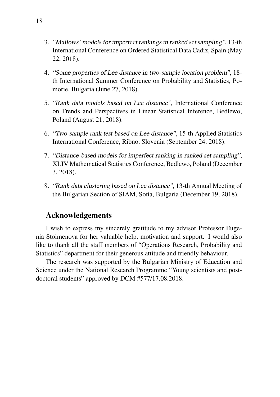- 3. "Mallows' models for imperfect rankings in ranked set sampling", 13-th International Conference on Ordered Statistical Data Cadiz, Spain (May 22, 2018).
- 4. "Some properties of Lee distance in two-sample location problem", 18 th International Summer Conference on Probability and Statistics, Pomorie, Bulgaria (June 27, 2018).
- 5. "Rank data models based on Lee distance", International Conference on Trends and Perspectives in Linear Statistical Inference, Bedlewo, Poland (August 21, 2018).
- 6. "Two-sample rank test based on Lee distance", 15-th Applied Statistics International Conference, Ribno, Slovenia (September 24, 2018).
- 7. "Distance-based models for imperfect ranking in ranked set sampling", XLIV Mathematical Statistics Conference, Bedlewo, Poland (December 3, 2018).
- 8. "Rank data clustering based on Lee distance", 13-th Annual Meeting of the Bulgarian Section of SIAM, Sofia, Bulgaria (December 19, 2018).

#### Acknowledgements

I wish to express my sincerely gratitude to my advisor Professor Eugenia Stoimenova for her valuable help, motivation and support. I would also like to thank all the staff members of "Operations Research, Probability and Statistics" department for their generous attitude and friendly behaviour.

The research was supported by the Bulgarian Ministry of Education and Science under the National Research Programme "Young scientists and postdoctoral students" approved by DCM #577/17.08.2018.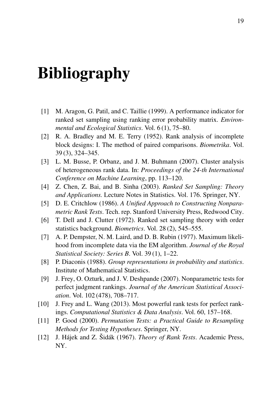# Bibliography

- <span id="page-20-3"></span>[1] M. Aragon, G. Patil, and C. Taillie (1999). A performance indicator for ranked set sampling using ranking error probability matrix. *Environmental and Ecological Statistics*. Vol. 6 (1), 75–80.
- <span id="page-20-0"></span>[2] R. A. Bradley and M. E. Terry (1952). Rank analysis of incomplete block designs: I. The method of paired comparisons. *Biometrika*. Vol. 39 (3), 324–345.
- <span id="page-20-1"></span>[3] L. M. Busse, P. Orbanz, and J. M. Buhmann (2007). Cluster analysis of heterogeneous rank data. In: *Proceedings of the 24-th International Conference on Machine Learning*, pp. 113–120.
- <span id="page-20-4"></span>[4] Z. Chen, Z. Bai, and B. Sinha (2003). *Ranked Set Sampling: Theory and Applications.* Lecture Notes in Statistics. Vol. 176. Springer, NY.
- <span id="page-20-10"></span>[5] D. E. Critchlow (1986). *A Unified Approach to Constructing Nonparametric Rank Tests*. Tech. rep. Stanford University Press, Redwood City.
- <span id="page-20-7"></span>[6] T. Dell and J. Clutter (1972). Ranked set sampling theory with order statistics background. *Biometrics*. Vol. 28 (2), 545–555.
- <span id="page-20-11"></span>[7] A. P. Dempster, N. M. Laird, and D. B. Rubin (1977). Maximum likelihood from incomplete data via the EM algorithm. *Journal of the Royal Statistical Society: Series B*. Vol. 39 (1), 1–22.
- <span id="page-20-2"></span>[8] P. Diaconis (1988). *Group representations in probability and statistics*. Institute of Mathematical Statistics.
- <span id="page-20-5"></span>[9] J. Frey, O. Ozturk, and J. V. Deshpande (2007). Nonparametric tests for perfect judgment rankings. *Journal of the American Statistical Association*. Vol. 102 (478), 708–717.
- <span id="page-20-6"></span>[10] J. Frey and L. Wang (2013). Most powerful rank tests for perfect rankings. *Computational Statistics & Data Analysis*. Vol. 60, 157–168.
- <span id="page-20-9"></span>[11] P. Good (2000). *Permutation Tests: a Practical Guide to Resampling Methods for Testing Hypotheses*. Springer, NY.
- <span id="page-20-8"></span>[12] J. Hájek and Z. Šidák (1967). *Theory of Rank Tests*. Academic Press, NY.